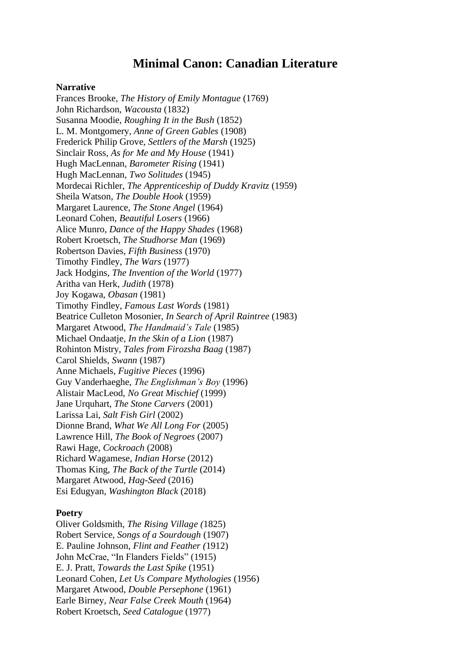# **Minimal Canon: Canadian Literature**

## **Narrative**

Frances Brooke, *The History of Emily Montague* (1769) John Richardson, *Wacousta* (1832) Susanna Moodie, *Roughing It in the Bush* (1852) L. M. Montgomery, *Anne of Green Gables* (1908) Frederick Philip Grove, *Settlers of the Marsh* (1925) Sinclair Ross, *As for Me and My House* (1941) Hugh MacLennan, *Barometer Rising* (1941) Hugh MacLennan, *Two Solitudes* (1945) Mordecai Richler, *The Apprenticeship of Duddy Kravitz* (1959) Sheila Watson, *The Double Hook* (1959) Margaret Laurence, *The Stone Angel* (1964) Leonard Cohen, *Beautiful Losers* (1966) Alice Munro, *Dance of the Happy Shades* (1968) Robert Kroetsch, *The Studhorse Man* (1969) Robertson Davies, *Fifth Business* (1970) Timothy Findley, *The Wars* (1977) Jack Hodgins, *The Invention of the World* (1977) Aritha van Herk, *Judith* (1978) Joy Kogawa, *Obasan* (1981) Timothy Findley, *Famous Last Words* (1981) Beatrice Culleton Mosonier, *In Search of April Raintree* (1983) Margaret Atwood, *The Handmaid's Tale* (1985) Michael Ondaatje, *In the Skin of a Lion* (1987) Rohinton Mistry, *Tales from Firozsha Baag* (1987) Carol Shields, *Swann* (1987) Anne Michaels, *Fugitive Pieces* (1996) Guy Vanderhaeghe, *The Englishman's Boy* (1996) Alistair MacLeod, *No Great Mischief* (1999) Jane Urquhart, *The Stone Carvers* (2001) Larissa Lai, *Salt Fish Girl* (2002) Dionne Brand, *What We All Long For* (2005) Lawrence Hill, *The Book of Negroes* (2007) Rawi Hage, *Cockroach* (2008) Richard Wagamese, *Indian Horse* (2012) Thomas King, *The Back of the Turtle* (2014) Margaret Atwood, *Hag-Seed* (2016) Esi Edugyan, *Washington Black* (2018)

#### **Poetry**

Oliver Goldsmith, *The Rising Village (*1825) Robert Service, *Songs of a Sourdough* (1907) E. Pauline Johnson, *Flint and Feather (*1912) John McCrae, "In Flanders Fields" (1915) E. J. Pratt, *Towards the Last Spike* (1951) Leonard Cohen, *Let Us Compare Mythologies* (1956) Margaret Atwood, *Double Persephone* (1961) Earle Birney, *Near False Creek Mouth* (1964) Robert Kroetsch, *Seed Catalogue* (1977)